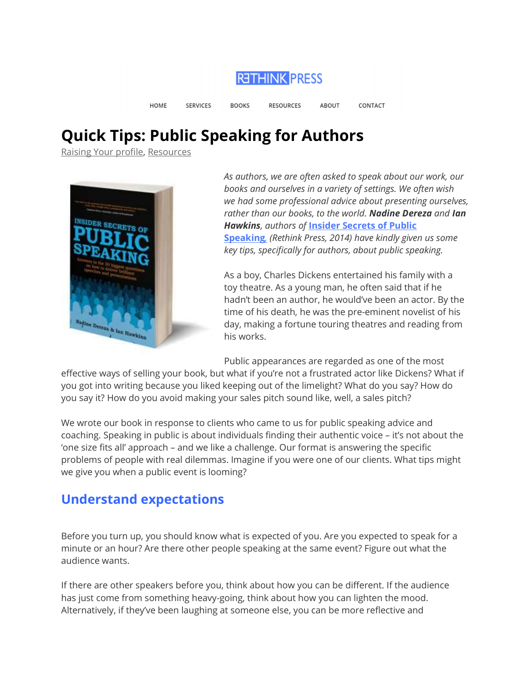**RETHINK PRESS** 

HOME **SERVICES BOOKS RESOURCES** CONTACT **ABOUT** 

# Quick Tips: Public Speaking for Authors

Raising Your profile, Resources



As authors, we are often asked to speak about our work, our books and ourselves in a variety of settings. We often wish we had some professional advice about presenting ourselves, rather than our books, to the world. Nadine Dereza and Ian **Hawkins, authors of Insider Secrets of Public** Speaking, (Rethink Press, 2014) have kindly given us some key tips, specifically for authors, about public speaking.

As a boy, Charles Dickens entertained his family with a toy theatre. As a young man, he often said that if he hadn't been an author, he would've been an actor. By the time of his death, he was the pre-eminent novelist of his day, making a fortune touring theatres and reading from his works.

Public appearances are regarded as one of the most

effective ways of selling your book, but what if you're not a frustrated actor like Dickens? What if you got into writing because you liked keeping out of the limelight? What do you say? How do you say it? How do you avoid making your sales pitch sound like, well, a sales pitch?

We wrote our book in response to clients who came to us for public speaking advice and coaching. Speaking in public is about individuals finding their authentic voice – it's not about the 'one size fits all' approach – and we like a challenge. Our format is answering the specific problems of people with real dilemmas. Imagine if you were one of our clients. What tips might we give you when a public event is looming?

### Understand expectations

Before you turn up, you should know what is expected of you. Are you expected to speak for a minute or an hour? Are there other people speaking at the same event? Figure out what the audience wants.

If there are other speakers before you, think about how you can be different. If the audience has just come from something heavy-going, think about how you can lighten the mood. Alternatively, if they've been laughing at someone else, you can be more reflective and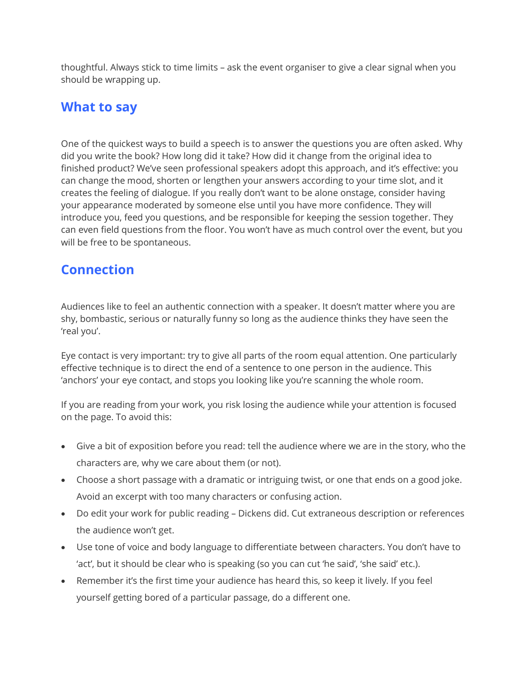thoughtful. Always stick to time limits – ask the event organiser to give a clear signal when you should be wrapping up.

#### What to say

One of the quickest ways to build a speech is to answer the questions you are often asked. Why did you write the book? How long did it take? How did it change from the original idea to finished product? We've seen professional speakers adopt this approach, and it's effective: you can change the mood, shorten or lengthen your answers according to your time slot, and it creates the feeling of dialogue. If you really don't want to be alone onstage, consider having your appearance moderated by someone else until you have more confidence. They will introduce you, feed you questions, and be responsible for keeping the session together. They can even field questions from the floor. You won't have as much control over the event, but you will be free to be spontaneous.

## **Connection**

Audiences like to feel an authentic connection with a speaker. It doesn't matter where you are shy, bombastic, serious or naturally funny so long as the audience thinks they have seen the 'real you'.

Eye contact is very important: try to give all parts of the room equal attention. One particularly effective technique is to direct the end of a sentence to one person in the audience. This 'anchors' your eye contact, and stops you looking like you're scanning the whole room.

If you are reading from your work, you risk losing the audience while your attention is focused on the page. To avoid this:

- Give a bit of exposition before you read: tell the audience where we are in the story, who the characters are, why we care about them (or not).
- Choose a short passage with a dramatic or intriguing twist, or one that ends on a good joke. Avoid an excerpt with too many characters or confusing action.
- Do edit your work for public reading Dickens did. Cut extraneous description or references the audience won't get.
- Use tone of voice and body language to differentiate between characters. You don't have to 'act', but it should be clear who is speaking (so you can cut 'he said', 'she said' etc.).
- Remember it's the first time your audience has heard this, so keep it lively. If you feel yourself getting bored of a particular passage, do a different one.